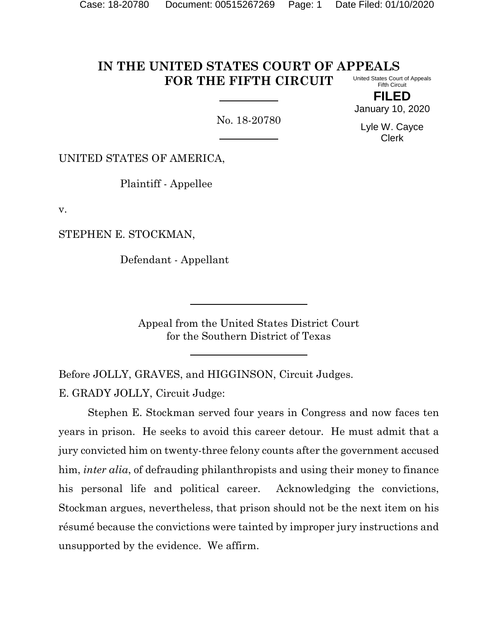#### **IN THE UNITED STATES COURT OF APPEALS FOR THE FIFTH CIRCUIT** United States Court of Appeals Fifth Circuit

No. 18-20780

January 10, 2020 Lyle W. Cayce

Clerk

**FILED**

UNITED STATES OF AMERICA,

Plaintiff - Appellee

v.

STEPHEN E. STOCKMAN,

Defendant - Appellant

Appeal from the United States District Court for the Southern District of Texas

Before JOLLY, GRAVES, and HIGGINSON, Circuit Judges.

E. GRADY JOLLY, Circuit Judge:

Stephen E. Stockman served four years in Congress and now faces ten years in prison. He seeks to avoid this career detour. He must admit that a jury convicted him on twenty-three felony counts after the government accused him, *inter alia*, of defrauding philanthropists and using their money to finance his personal life and political career. Acknowledging the convictions, Stockman argues, nevertheless, that prison should not be the next item on his résumé because the convictions were tainted by improper jury instructions and unsupported by the evidence. We affirm.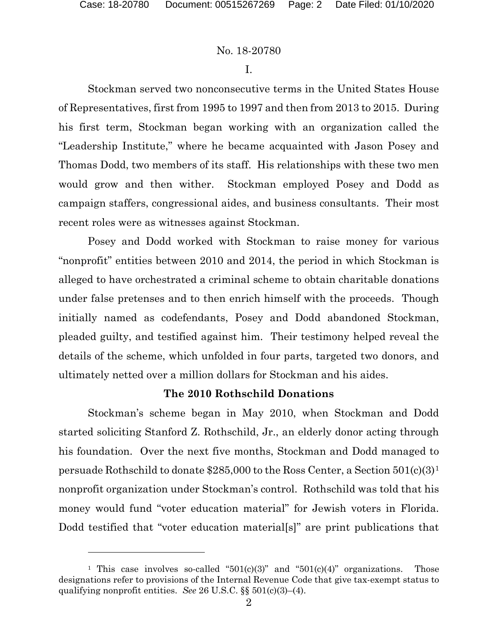# No. 18-20780

I.

Stockman served two nonconsecutive terms in the United States House of Representatives, first from 1995 to 1997 and then from 2013 to 2015. During his first term, Stockman began working with an organization called the "Leadership Institute," where he became acquainted with Jason Posey and Thomas Dodd, two members of its staff. His relationships with these two men would grow and then wither. Stockman employed Posey and Dodd as campaign staffers, congressional aides, and business consultants. Their most recent roles were as witnesses against Stockman.

Posey and Dodd worked with Stockman to raise money for various "nonprofit" entities between 2010 and 2014, the period in which Stockman is alleged to have orchestrated a criminal scheme to obtain charitable donations under false pretenses and to then enrich himself with the proceeds. Though initially named as codefendants, Posey and Dodd abandoned Stockman, pleaded guilty, and testified against him. Their testimony helped reveal the details of the scheme, which unfolded in four parts, targeted two donors, and ultimately netted over a million dollars for Stockman and his aides.

# **The 2010 Rothschild Donations**

Stockman's scheme began in May 2010, when Stockman and Dodd started soliciting Stanford Z. Rothschild, Jr., an elderly donor acting through his foundation. Over the next five months, Stockman and Dodd managed to persuade Rothschild to donate \$285,000 to the Ross Center, a Section 501(c)(3)[1](#page-1-0) nonprofit organization under Stockman's control.Rothschild was told that his money would fund "voter education material" for Jewish voters in Florida. Dodd testified that "voter education material<sup>[s]"</sup> are print publications that

<span id="page-1-0"></span><sup>&</sup>lt;sup>1</sup> This case involves so-called " $501(c)(3)$ " and " $501(c)(4)$ " organizations. Those designations refer to provisions of the Internal Revenue Code that give tax-exempt status to qualifying nonprofit entities. *See* 26 U.S.C. §§ 501(c)(3)–(4).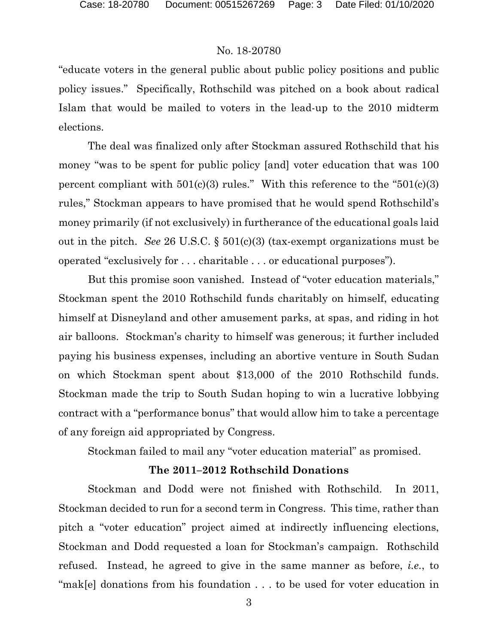"educate voters in the general public about public policy positions and public policy issues." Specifically, Rothschild was pitched on a book about radical Islam that would be mailed to voters in the lead-up to the 2010 midterm elections.

The deal was finalized only after Stockman assured Rothschild that his money "was to be spent for public policy [and] voter education that was 100 percent compliant with  $501(c)(3)$  rules." With this reference to the " $501(c)(3)$ " rules," Stockman appears to have promised that he would spend Rothschild's money primarily (if not exclusively) in furtherance of the educational goals laid out in the pitch. *See* 26 U.S.C. § 501(c)(3) (tax-exempt organizations must be operated "exclusively for . . . charitable . . . or educational purposes").

But this promise soon vanished. Instead of "voter education materials," Stockman spent the 2010 Rothschild funds charitably on himself, educating himself at Disneyland and other amusement parks, at spas, and riding in hot air balloons. Stockman's charity to himself was generous; it further included paying his business expenses, including an abortive venture in South Sudan on which Stockman spent about \$13,000 of the 2010 Rothschild funds. Stockman made the trip to South Sudan hoping to win a lucrative lobbying contract with a "performance bonus" that would allow him to take a percentage of any foreign aid appropriated by Congress.

Stockman failed to mail any "voter education material" as promised.

#### **The 2011–2012 Rothschild Donations**

Stockman and Dodd were not finished with Rothschild. In 2011, Stockman decided to run for a second term in Congress. This time, rather than pitch a "voter education" project aimed at indirectly influencing elections, Stockman and Dodd requested a loan for Stockman's campaign. Rothschild refused. Instead, he agreed to give in the same manner as before, *i.e.*, to "mak[e] donations from his foundation . . . to be used for voter education in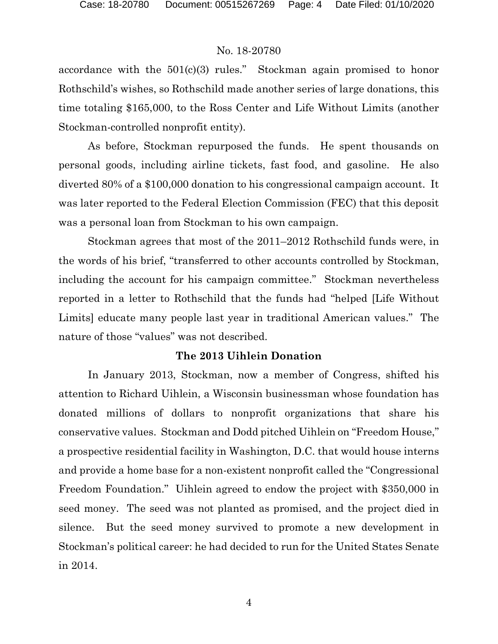accordance with the  $501(c)(3)$  rules." Stockman again promised to honor Rothschild's wishes, so Rothschild made another series of large donations, this time totaling \$165,000, to the Ross Center and Life Without Limits (another Stockman-controlled nonprofit entity).

As before, Stockman repurposed the funds. He spent thousands on personal goods, including airline tickets, fast food, and gasoline. He also diverted 80% of a \$100,000 donation to his congressional campaign account. It was later reported to the Federal Election Commission (FEC) that this deposit was a personal loan from Stockman to his own campaign.

Stockman agrees that most of the 2011–2012 Rothschild funds were, in the words of his brief, "transferred to other accounts controlled by Stockman, including the account for his campaign committee." Stockman nevertheless reported in a letter to Rothschild that the funds had "helped [Life Without Limits] educate many people last year in traditional American values." The nature of those "values" was not described.

#### **The 2013 Uihlein Donation**

In January 2013, Stockman, now a member of Congress, shifted his attention to Richard Uihlein, a Wisconsin businessman whose foundation has donated millions of dollars to nonprofit organizations that share his conservative values. Stockman and Dodd pitched Uihlein on "Freedom House," a prospective residential facility in Washington, D.C. that would house interns and provide a home base for a non-existent nonprofit called the "Congressional Freedom Foundation." Uihlein agreed to endow the project with \$350,000 in seed money. The seed was not planted as promised, and the project died in silence. But the seed money survived to promote a new development in Stockman's political career: he had decided to run for the United States Senate in 2014.

4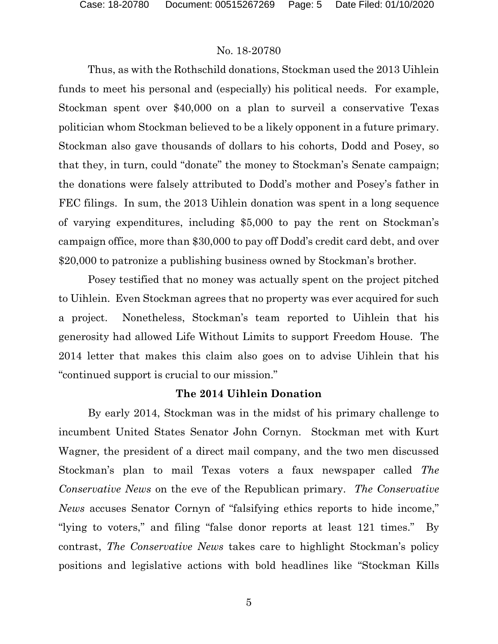Thus, as with the Rothschild donations, Stockman used the 2013 Uihlein funds to meet his personal and (especially) his political needs. For example, Stockman spent over \$40,000 on a plan to surveil a conservative Texas politician whom Stockman believed to be a likely opponent in a future primary. Stockman also gave thousands of dollars to his cohorts, Dodd and Posey, so that they, in turn, could "donate" the money to Stockman's Senate campaign; the donations were falsely attributed to Dodd's mother and Posey's father in FEC filings. In sum, the 2013 Uihlein donation was spent in a long sequence of varying expenditures, including \$5,000 to pay the rent on Stockman's campaign office, more than \$30,000 to pay off Dodd's credit card debt, and over \$20,000 to patronize a publishing business owned by Stockman's brother.

Posey testified that no money was actually spent on the project pitched to Uihlein. Even Stockman agrees that no property was ever acquired for such a project. Nonetheless, Stockman's team reported to Uihlein that his generosity had allowed Life Without Limits to support Freedom House. The 2014 letter that makes this claim also goes on to advise Uihlein that his "continued support is crucial to our mission."

# **The 2014 Uihlein Donation**

By early 2014, Stockman was in the midst of his primary challenge to incumbent United States Senator John Cornyn. Stockman met with Kurt Wagner, the president of a direct mail company, and the two men discussed Stockman's plan to mail Texas voters a faux newspaper called *The Conservative News* on the eve of the Republican primary. *The Conservative News* accuses Senator Cornyn of "falsifying ethics reports to hide income," "lying to voters," and filing "false donor reports at least 121 times." By contrast, *The Conservative News* takes care to highlight Stockman's policy positions and legislative actions with bold headlines like "Stockman Kills

5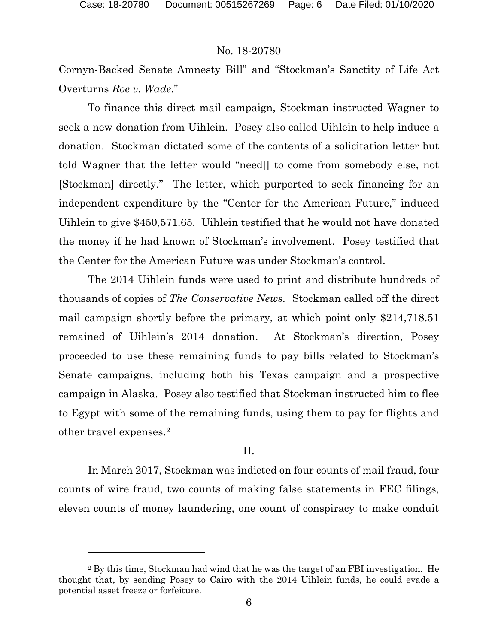#### No. 18-20780

Cornyn-Backed Senate Amnesty Bill" and "Stockman's Sanctity of Life Act Overturns *Roe v. Wade*."

To finance this direct mail campaign, Stockman instructed Wagner to seek a new donation from Uihlein. Posey also called Uihlein to help induce a donation. Stockman dictated some of the contents of a solicitation letter but told Wagner that the letter would "need[] to come from somebody else, not [Stockman] directly." The letter, which purported to seek financing for an independent expenditure by the "Center for the American Future," induced Uihlein to give \$450,571.65. Uihlein testified that he would not have donated the money if he had known of Stockman's involvement. Posey testified that the Center for the American Future was under Stockman's control.

The 2014 Uihlein funds were used to print and distribute hundreds of thousands of copies of *The Conservative News.* Stockman called off the direct mail campaign shortly before the primary, at which point only \$214,718.51 remained of Uihlein's 2014 donation. At Stockman's direction, Posey proceeded to use these remaining funds to pay bills related to Stockman's Senate campaigns, including both his Texas campaign and a prospective campaign in Alaska. Posey also testified that Stockman instructed him to flee to Egypt with some of the remaining funds, using them to pay for flights and other travel expenses.[2](#page-5-0)

#### II.

In March 2017, Stockman was indicted on four counts of mail fraud, four counts of wire fraud, two counts of making false statements in FEC filings, eleven counts of money laundering, one count of conspiracy to make conduit

<span id="page-5-0"></span><sup>2</sup> By this time, Stockman had wind that he was the target of an FBI investigation. He thought that, by sending Posey to Cairo with the 2014 Uihlein funds, he could evade a potential asset freeze or forfeiture.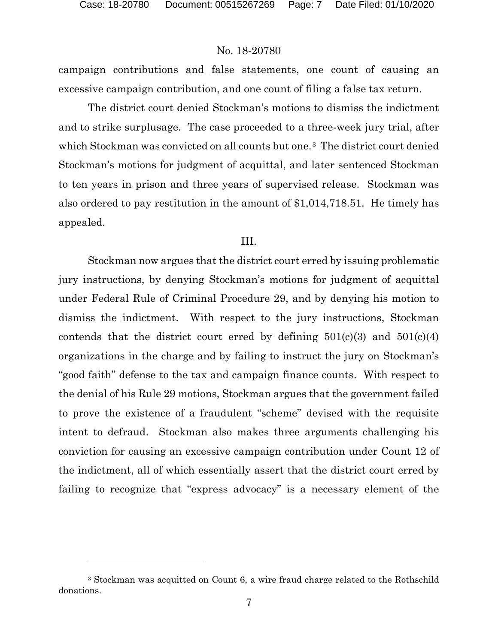l

# No. 18-20780

campaign contributions and false statements, one count of causing an excessive campaign contribution, and one count of filing a false tax return.

The district court denied Stockman's motions to dismiss the indictment and to strike surplusage. The case proceeded to a three-week jury trial, after which Stockman was convicted on all counts but one.<sup>3</sup> The district court denied Stockman's motions for judgment of acquittal, and later sentenced Stockman to ten years in prison and three years of supervised release. Stockman was also ordered to pay restitution in the amount of \$1,014,718.51. He timely has appealed.

#### III.

Stockman now argues that the district court erred by issuing problematic jury instructions, by denying Stockman's motions for judgment of acquittal under Federal Rule of Criminal Procedure 29, and by denying his motion to dismiss the indictment. With respect to the jury instructions, Stockman contends that the district court erred by defining  $501(c)(3)$  and  $501(c)(4)$ organizations in the charge and by failing to instruct the jury on Stockman's "good faith" defense to the tax and campaign finance counts. With respect to the denial of his Rule 29 motions, Stockman argues that the government failed to prove the existence of a fraudulent "scheme" devised with the requisite intent to defraud. Stockman also makes three arguments challenging his conviction for causing an excessive campaign contribution under Count 12 of the indictment, all of which essentially assert that the district court erred by failing to recognize that "express advocacy" is a necessary element of the

<span id="page-6-0"></span><sup>3</sup> Stockman was acquitted on Count 6, a wire fraud charge related to the Rothschild donations.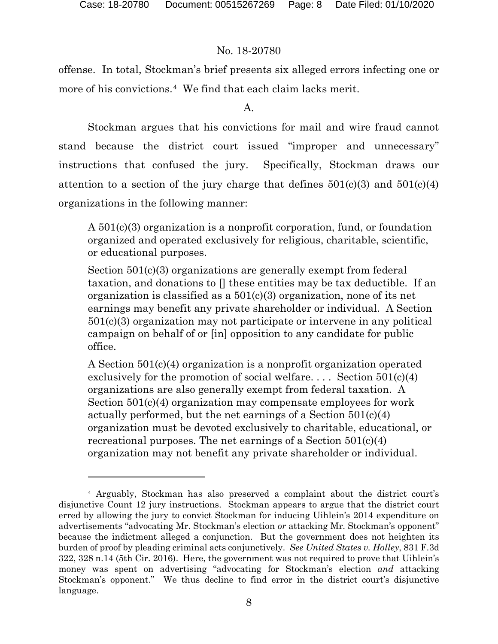# No. 18-20780

offense. In total, Stockman's brief presents six alleged errors infecting one or more of his convictions.<sup>4</sup> We find that each claim lacks merit.

A.

Stockman argues that his convictions for mail and wire fraud cannot stand because the district court issued "improper and unnecessary" instructions that confused the jury. Specifically, Stockman draws our attention to a section of the jury charge that defines  $501(c)(3)$  and  $501(c)(4)$ organizations in the following manner:

A 501(c)(3) organization is a nonprofit corporation, fund, or foundation organized and operated exclusively for religious, charitable, scientific, or educational purposes.

Section 501(c)(3) organizations are generally exempt from federal taxation, and donations to [] these entities may be tax deductible. If an organization is classified as a  $501(c)(3)$  organization, none of its net earnings may benefit any private shareholder or individual. A Section 501(c)(3) organization may not participate or intervene in any political campaign on behalf of or [in] opposition to any candidate for public office.

A Section 501(c)(4) organization is a nonprofit organization operated exclusively for the promotion of social welfare.... Section  $501(c)(4)$ organizations are also generally exempt from federal taxation. A Section 501(c)(4) organization may compensate employees for work actually performed, but the net earnings of a Section 501(c)(4) organization must be devoted exclusively to charitable, educational, or recreational purposes. The net earnings of a Section 501(c)(4) organization may not benefit any private shareholder or individual.

<span id="page-7-0"></span><sup>4</sup> Arguably, Stockman has also preserved a complaint about the district court's disjunctive Count 12 jury instructions. Stockman appears to argue that the district court erred by allowing the jury to convict Stockman for inducing Uihlein's 2014 expenditure on advertisements "advocating Mr. Stockman's election *or* attacking Mr. Stockman's opponent" because the indictment alleged a conjunction.But the government does not heighten its burden of proof by pleading criminal acts conjunctively. *See United States v. Holley*, 831 F.3d 322, 328 n.14 (5th Cir. 2016). Here, the government was not required to prove that Uihlein's money was spent on advertising "advocating for Stockman's election *and* attacking Stockman's opponent." We thus decline to find error in the district court's disjunctive language.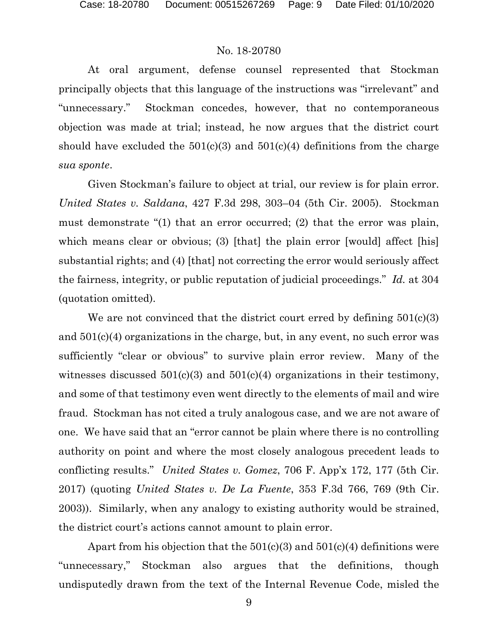At oral argument, defense counsel represented that Stockman principally objects that this language of the instructions was "irrelevant" and "unnecessary." Stockman concedes, however, that no contemporaneous objection was made at trial; instead, he now argues that the district court should have excluded the  $501(c)(3)$  and  $501(c)(4)$  definitions from the charge *sua sponte*.

Given Stockman's failure to object at trial, our review is for plain error. *United States v. Saldana*, 427 F.3d 298, 303–04 (5th Cir. 2005). Stockman must demonstrate "(1) that an error occurred; (2) that the error was plain, which means clear or obvious; (3) [that] the plain error [would] affect [his] substantial rights; and (4) [that] not correcting the error would seriously affect the fairness, integrity, or public reputation of judicial proceedings." *Id.* at 304 (quotation omitted).

We are not convinced that the district court erred by defining  $501(c)(3)$ and 501(c)(4) organizations in the charge, but, in any event, no such error was sufficiently "clear or obvious" to survive plain error review. Many of the witnesses discussed  $501(c)(3)$  and  $501(c)(4)$  organizations in their testimony, and some of that testimony even went directly to the elements of mail and wire fraud. Stockman has not cited a truly analogous case, and we are not aware of one. We have said that an "error cannot be plain where there is no controlling authority on point and where the most closely analogous precedent leads to conflicting results." *United States v. Gomez*, 706 F. App'x 172, 177 (5th Cir. 2017) (quoting *United States v. De La Fuente*, 353 F.3d 766, 769 (9th Cir. 2003)). Similarly, when any analogy to existing authority would be strained, the district court's actions cannot amount to plain error.

Apart from his objection that the  $501(c)(3)$  and  $501(c)(4)$  definitions were "unnecessary," Stockman also argues that the definitions, though undisputedly drawn from the text of the Internal Revenue Code, misled the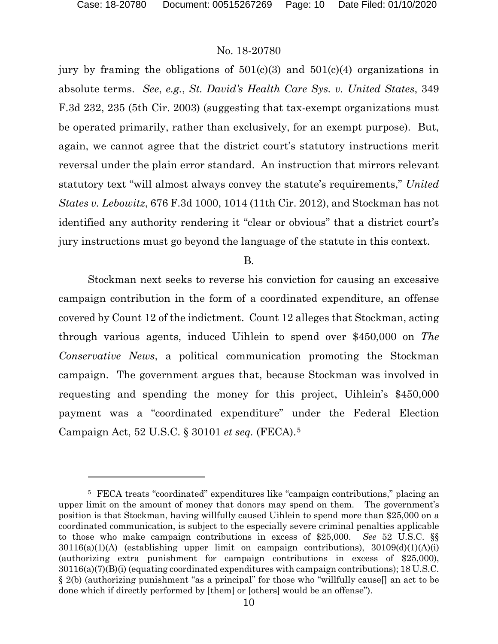# No. 18-20780

jury by framing the obligations of  $501(c)(3)$  and  $501(c)(4)$  organizations in absolute terms. *See*, *e.g.*, *St. David's Health Care Sys. v. United States*, 349 F.3d 232, 235 (5th Cir. 2003) (suggesting that tax-exempt organizations must be operated primarily, rather than exclusively, for an exempt purpose). But, again, we cannot agree that the district court's statutory instructions merit reversal under the plain error standard. An instruction that mirrors relevant statutory text "will almost always convey the statute's requirements," *United States v. Lebowitz*, 676 F.3d 1000, 1014 (11th Cir. 2012), and Stockman has not identified any authority rendering it "clear or obvious" that a district court's jury instructions must go beyond the language of the statute in this context.

B.

Stockman next seeks to reverse his conviction for causing an excessive campaign contribution in the form of a coordinated expenditure, an offense covered by Count 12 of the indictment. Count 12 alleges that Stockman, acting through various agents, induced Uihlein to spend over \$450,000 on *The Conservative News*, a political communication promoting the Stockman campaign. The government argues that, because Stockman was involved in requesting and spending the money for this project, Uihlein's \$450,000 payment was a "coordinated expenditure" under the Federal Election Campaign Act, 52 U.S.C. § 30101 *et seq.* (FECA).[5](#page-9-0) 

<span id="page-9-0"></span><sup>5</sup> FECA treats "coordinated" expenditures like "campaign contributions," placing an upper limit on the amount of money that donors may spend on them. The government's position is that Stockman, having willfully caused Uihlein to spend more than \$25,000 on a coordinated communication, is subject to the especially severe criminal penalties applicable to those who make campaign contributions in excess of \$25,000. *See* 52 U.S.C. §§  $30116(a)(1)(A)$  (establishing upper limit on campaign contributions),  $30109(d)(1)(A)(i)$ (authorizing extra punishment for campaign contributions in excess of \$25,000), 30116(a)(7)(B)(i) (equating coordinated expenditures with campaign contributions); 18 U.S.C. § 2(b) (authorizing punishment "as a principal" for those who "willfully cause[] an act to be done which if directly performed by [them] or [others] would be an offense").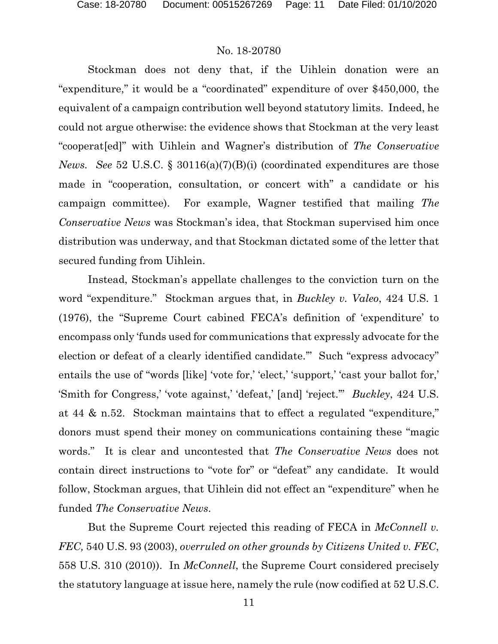Stockman does not deny that, if the Uihlein donation were an "expenditure," it would be a "coordinated" expenditure of over \$450,000, the equivalent of a campaign contribution well beyond statutory limits. Indeed, he could not argue otherwise: the evidence shows that Stockman at the very least "cooperat[ed]" with Uihlein and Wagner's distribution of *The Conservative News. See* 52 U.S.C. § 30116(a)(7)(B)(i) (coordinated expenditures are those made in "cooperation, consultation, or concert with" a candidate or his campaign committee). For example, Wagner testified that mailing *The Conservative News* was Stockman's idea, that Stockman supervised him once distribution was underway, and that Stockman dictated some of the letter that secured funding from Uihlein.

Instead, Stockman's appellate challenges to the conviction turn on the word "expenditure." Stockman argues that, in *Buckley v. Valeo*, 424 U.S. 1 (1976), the "Supreme Court cabined FECA's definition of 'expenditure' to encompass only 'funds used for communications that expressly advocate for the election or defeat of a clearly identified candidate.'" Such "express advocacy" entails the use of "words [like] 'vote for,' 'elect,' 'support,' 'cast your ballot for,' 'Smith for Congress,' 'vote against,' 'defeat,' [and] 'reject.'" *Buckley*, 424 U.S. at 44 & n.52. Stockman maintains that to effect a regulated "expenditure," donors must spend their money on communications containing these "magic words." It is clear and uncontested that *The Conservative News* does not contain direct instructions to "vote for" or "defeat" any candidate. It would follow, Stockman argues, that Uihlein did not effect an "expenditure" when he funded *The Conservative News*.

But the Supreme Court rejected this reading of FECA in *McConnell v. FEC,* 540 U.S. 93 (2003), *overruled on other grounds by Citizens United v. FEC*, 558 U.S. 310 (2010)). In *McConnell*, the Supreme Court considered precisely the statutory language at issue here, namely the rule (now codified at 52 U.S.C.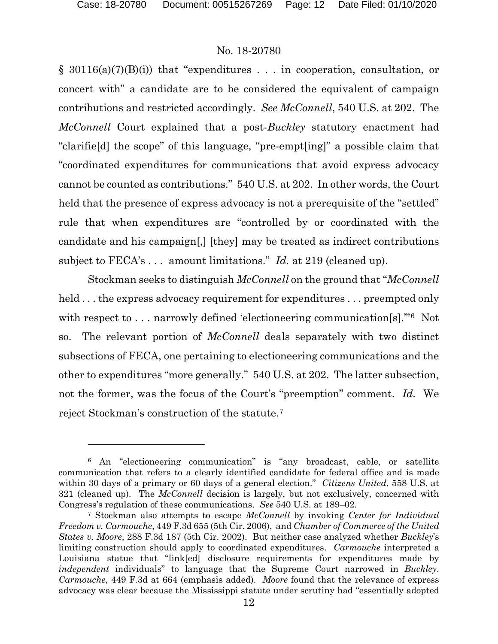### No. 18-20780

§ 30116(a)(7)(B)(i)) that "expenditures . . . in cooperation, consultation, or concert with" a candidate are to be considered the equivalent of campaign contributions and restricted accordingly. *See McConnell*, 540 U.S. at 202. The *McConnell* Court explained that a post-*Buckley* statutory enactment had "clarifie[d] the scope" of this language, "pre-empt[ing]" a possible claim that "coordinated expenditures for communications that avoid express advocacy cannot be counted as contributions." 540 U.S. at 202. In other words, the Court held that the presence of express advocacy is not a prerequisite of the "settled" rule that when expenditures are "controlled by or coordinated with the candidate and his campaign[,] [they] may be treated as indirect contributions subject to FECA's . . . amount limitations." *Id.* at 219 (cleaned up).

Stockman seeks to distinguish *McConnell* on the ground that "*McConnell* held ... the express advocacy requirement for expenditures ... preempted only with respect to . . . narrowly defined 'electioneering communication[s]."<sup>6</sup> Not so. The relevant portion of *McConnell* deals separately with two distinct subsections of FECA, one pertaining to electioneering communications and the other to expenditures "more generally." 540 U.S. at 202. The latter subsection, not the former, was the focus of the Court's "preemption" comment. *Id.* We reject Stockman's construction of the statute.[7](#page-11-1)

<span id="page-11-0"></span><sup>6</sup> An "electioneering communication" is "any broadcast, cable, or satellite communication that refers to a clearly identified candidate for federal office and is made within 30 days of a primary or 60 days of a general election." *Citizens United*, 558 U.S. at 321 (cleaned up). The *McConnell* decision is largely, but not exclusively, concerned with Congress's regulation of these communications. *See* 540 U.S. at 189–02.

<span id="page-11-1"></span><sup>7</sup> Stockman also attempts to escape *McConnell* by invoking *Center for Individual Freedom v. Carmouche*, 449 F.3d 655 (5th Cir. 2006), and *Chamber of Commerce of the United States v. Moore*, 288 F.3d 187 (5th Cir. 2002). But neither case analyzed whether *Buckley*'s limiting construction should apply to coordinated expenditures. *Carmouche* interpreted a Louisiana statue that "link[ed] disclosure requirements for expenditures made by *independent* individuals" to language that the Supreme Court narrowed in *Buckley*. *Carmouche*, 449 F.3d at 664 (emphasis added). *Moore* found that the relevance of express advocacy was clear because the Mississippi statute under scrutiny had "essentially adopted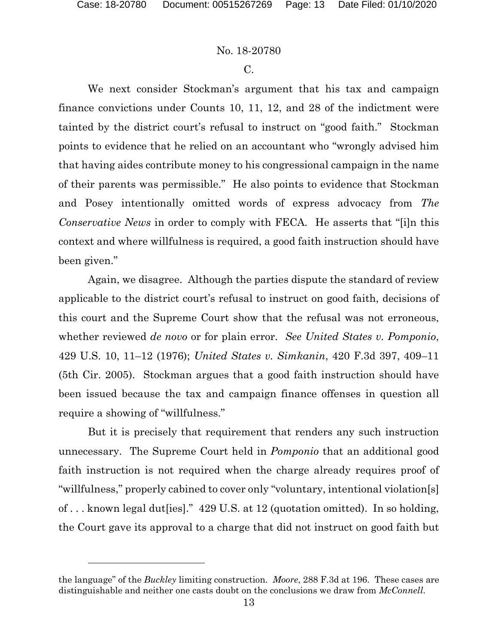l

#### No. 18-20780

#### C.

We next consider Stockman's argument that his tax and campaign finance convictions under Counts 10, 11, 12, and 28 of the indictment were tainted by the district court's refusal to instruct on "good faith." Stockman points to evidence that he relied on an accountant who "wrongly advised him that having aides contribute money to his congressional campaign in the name of their parents was permissible." He also points to evidence that Stockman and Posey intentionally omitted words of express advocacy from *The Conservative News* in order to comply with FECA*.* He asserts that "[i]n this context and where willfulness is required, a good faith instruction should have been given."

Again, we disagree. Although the parties dispute the standard of review applicable to the district court's refusal to instruct on good faith, decisions of this court and the Supreme Court show that the refusal was not erroneous, whether reviewed *de novo* or for plain error. *See United States v. Pomponio*, 429 U.S. 10, 11–12 (1976); *United States v. Simkanin*, 420 F.3d 397, 409–11 (5th Cir. 2005). Stockman argues that a good faith instruction should have been issued because the tax and campaign finance offenses in question all require a showing of "willfulness."

But it is precisely that requirement that renders any such instruction unnecessary. The Supreme Court held in *Pomponio* that an additional good faith instruction is not required when the charge already requires proof of "willfulness," properly cabined to cover only "voluntary, intentional violation[s] of . . . known legal dut[ies]." 429 U*.*S. at 12 (quotation omitted). In so holding, the Court gave its approval to a charge that did not instruct on good faith but

the language" of the *Buckley* limiting construction. *Moore*, 288 F.3d at 196. These cases are distinguishable and neither one casts doubt on the conclusions we draw from *McConnell*.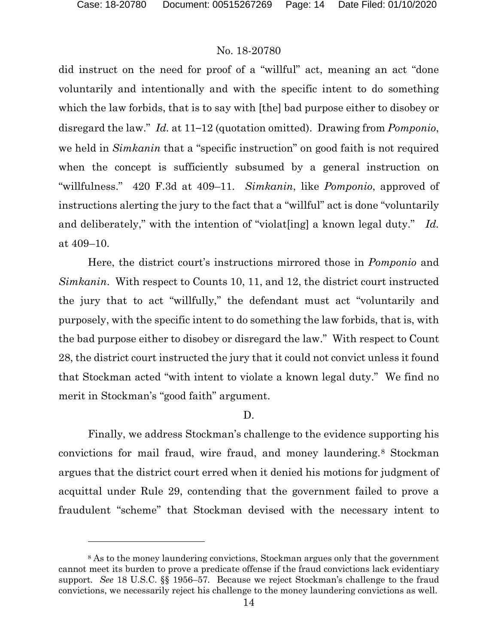# No. 18-20780

did instruct on the need for proof of a "willful" act, meaning an act "done voluntarily and intentionally and with the specific intent to do something which the law forbids, that is to say with [the] bad purpose either to disobey or disregard the law." *Id.* at 11–12 (quotation omitted). Drawing from *Pomponio*, we held in *Simkanin* that a "specific instruction" on good faith is not required when the concept is sufficiently subsumed by a general instruction on "willfulness." 420 F.3d at 409–11. *Simkanin*, like *Pomponio*, approved of instructions alerting the jury to the fact that a "willful" act is done "voluntarily and deliberately," with the intention of "violat[ing] a known legal duty." *Id.* at 409–10.

Here, the district court's instructions mirrored those in *Pomponio* and *Simkanin*. With respect to Counts 10, 11, and 12, the district court instructed the jury that to act "willfully," the defendant must act "voluntarily and purposely, with the specific intent to do something the law forbids, that is, with the bad purpose either to disobey or disregard the law." With respect to Count 28, the district court instructed the jury that it could not convict unless it found that Stockman acted "with intent to violate a known legal duty." We find no merit in Stockman's "good faith" argument.

#### D.

Finally, we address Stockman's challenge to the evidence supporting his convictions for mail fraud, wire fraud, and money laundering.[8](#page-13-0) Stockman argues that the district court erred when it denied his motions for judgment of acquittal under Rule 29, contending that the government failed to prove a fraudulent "scheme" that Stockman devised with the necessary intent to

<span id="page-13-0"></span><sup>&</sup>lt;sup>8</sup> As to the money laundering convictions, Stockman argues only that the government cannot meet its burden to prove a predicate offense if the fraud convictions lack evidentiary support. *See* 18 U.S.C. §§ 1956–57. Because we reject Stockman's challenge to the fraud convictions, we necessarily reject his challenge to the money laundering convictions as well.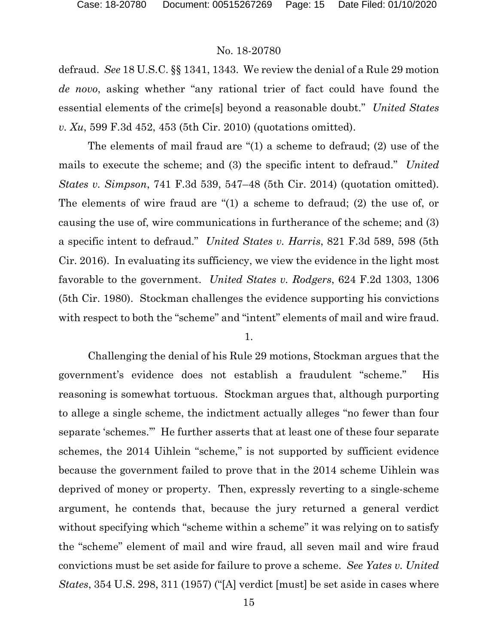defraud. *See* 18 U.S.C. §§ 1341, 1343. We review the denial of a Rule 29 motion *de novo*, asking whether "any rational trier of fact could have found the essential elements of the crime[s] beyond a reasonable doubt." *United States v. Xu*, 599 F.3d 452, 453 (5th Cir. 2010) (quotations omitted).

The elements of mail fraud are "(1) a scheme to defraud; (2) use of the mails to execute the scheme; and (3) the specific intent to defraud." *United States v. Simpson*, 741 F.3d 539, 547–48 (5th Cir. 2014) (quotation omitted). The elements of wire fraud are "(1) a scheme to defraud; (2) the use of, or causing the use of, wire communications in furtherance of the scheme; and (3) a specific intent to defraud." *United States v. Harris*, 821 F.3d 589, 598 (5th Cir. 2016). In evaluating its sufficiency, we view the evidence in the light most favorable to the government. *United States v. Rodgers*, 624 F.2d 1303, 1306 (5th Cir. 1980). Stockman challenges the evidence supporting his convictions with respect to both the "scheme" and "intent" elements of mail and wire fraud.

#### 1.

Challenging the denial of his Rule 29 motions, Stockman argues that the government's evidence does not establish a fraudulent "scheme." His reasoning is somewhat tortuous. Stockman argues that, although purporting to allege a single scheme, the indictment actually alleges "no fewer than four separate 'schemes.'" He further asserts that at least one of these four separate schemes, the 2014 Uihlein "scheme," is not supported by sufficient evidence because the government failed to prove that in the 2014 scheme Uihlein was deprived of money or property. Then, expressly reverting to a single-scheme argument, he contends that, because the jury returned a general verdict without specifying which "scheme within a scheme" it was relying on to satisfy the "scheme" element of mail and wire fraud, all seven mail and wire fraud convictions must be set aside for failure to prove a scheme. *See Yates v. United States*, 354 U.S. 298, 311 (1957) ("[A] verdict [must] be set aside in cases where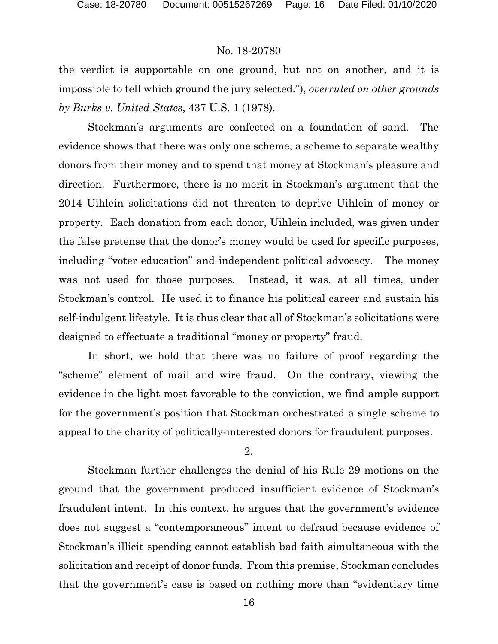the verdict is supportable on one ground, but not on another, and it is impossible to tell which ground the jury selected."), *overruled on other grounds by Burks v. United States*, 437 U.S. 1 (1978).

Stockman's arguments are confected on a foundation of sand. The evidence shows that there was only one scheme, a scheme to separate wealthy donors from their money and to spend that money at Stockman's pleasure and direction. Furthermore, there is no merit in Stockman's argument that the 2014 Uihlein solicitations did not threaten to deprive Uihlein of money or property. Each donation from each donor, Uihlein included, was given under the false pretense that the donor's money would be used for specific purposes, including "voter education" and independent political advocacy. The money was not used for those purposes. Instead, it was, at all times, under Stockman's control. He used it to finance his political career and sustain his self-indulgent lifestyle. It is thus clear that all of Stockman's solicitations were designed to effectuate a traditional "money or property" fraud.

In short, we hold that there was no failure of proof regarding the "scheme" element of mail and wire fraud. On the contrary, viewing the evidence in the light most favorable to the conviction, we find ample support for the government's position that Stockman orchestrated a single scheme to appeal to the charity of politically-interested donors for fraudulent purposes.

2.

Stockman further challenges the denial of his Rule 29 motions on the ground that the government produced insufficient evidence of Stockman's fraudulent intent. In this context, he argues that the government's evidence does not suggest a "contemporaneous" intent to defraud because evidence of Stockman's illicit spending cannot establish bad faith simultaneous with the solicitation and receipt of donor funds. From this premise, Stockman concludes that the government's case is based on nothing more than "evidentiary time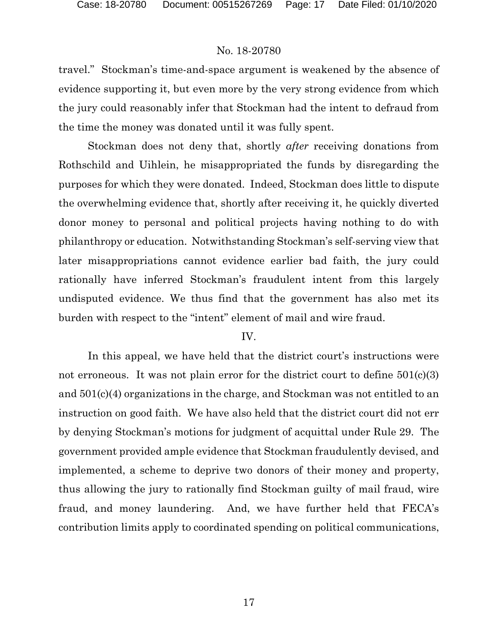travel." Stockman's time-and-space argument is weakened by the absence of evidence supporting it, but even more by the very strong evidence from which the jury could reasonably infer that Stockman had the intent to defraud from the time the money was donated until it was fully spent.

Stockman does not deny that, shortly *after* receiving donations from Rothschild and Uihlein, he misappropriated the funds by disregarding the purposes for which they were donated. Indeed, Stockman does little to dispute the overwhelming evidence that, shortly after receiving it, he quickly diverted donor money to personal and political projects having nothing to do with philanthropy or education. Notwithstanding Stockman's self-serving view that later misappropriations cannot evidence earlier bad faith, the jury could rationally have inferred Stockman's fraudulent intent from this largely undisputed evidence. We thus find that the government has also met its burden with respect to the "intent" element of mail and wire fraud.

# IV.

In this appeal, we have held that the district court's instructions were not erroneous. It was not plain error for the district court to define  $501(c)(3)$ and 501(c)(4) organizations in the charge, and Stockman was not entitled to an instruction on good faith. We have also held that the district court did not err by denying Stockman's motions for judgment of acquittal under Rule 29. The government provided ample evidence that Stockman fraudulently devised, and implemented, a scheme to deprive two donors of their money and property, thus allowing the jury to rationally find Stockman guilty of mail fraud, wire fraud, and money laundering. And, we have further held that FECA's contribution limits apply to coordinated spending on political communications,